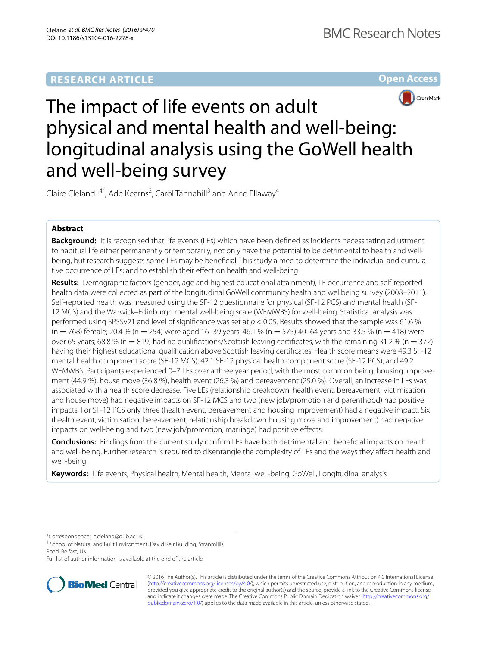# **RESEARCH ARTICLE**





# The impact of life events on adult physical and mental health and well-being: longitudinal analysis using the GoWell health and well-being survey

Claire Cleland<sup>1,4\*</sup>, Ade Kearns<sup>2</sup>, Carol Tannahill<sup>3</sup> and Anne Ellaway<sup>4</sup>

# **Abstract**

**Background:** It is recognised that life events (LEs) which have been defined as incidents necessitating adjustment to habitual life either permanently or temporarily, not only have the potential to be detrimental to health and wellbeing, but research suggests some LEs may be beneficial. This study aimed to determine the individual and cumulative occurrence of LEs; and to establish their effect on health and well-being.

**Results:** Demographic factors (gender, age and highest educational attainment), LE occurrence and self-reported health data were collected as part of the longitudinal GoWell community health and wellbeing survey (2008–2011). Self-reported health was measured using the SF-12 questionnaire for physical (SF-12 PCS) and mental health (SF-12 MCS) and the Warwick–Edinburgh mental well-being scale (WEMWBS) for well-being. Statistical analysis was performed using SPSSv21 and level of significance was set at *p* < 0.05. Results showed that the sample was 61.6 %  $(n = 768)$  female; 20.4 %  $(n = 254)$  were aged 16–39 years, 46.1 %  $(n = 575)$  40–64 years and 33.5 %  $(n = 418)$  were over 65 years; 68.8 % (n = 819) had no qualifications/Scottish leaving certificates, with the remaining 31.2 % (n = 372) having their highest educational qualification above Scottish leaving certificates. Health score means were 49.3 SF-12 mental health component score (SF-12 MCS); 42.1 SF-12 physical health component score (SF-12 PCS); and 49.2 WEMWBS. Participants experienced 0–7 LEs over a three year period, with the most common being: housing improvement (44.9 %), house move (36.8 %), health event (26.3 %) and bereavement (25.0 %). Overall, an increase in LEs was associated with a health score decrease. Five LEs (relationship breakdown, health event, bereavement, victimisation and house move) had negative impacts on SF-12 MCS and two (new job/promotion and parenthood) had positive impacts. For SF-12 PCS only three (health event, bereavement and housing improvement) had a negative impact. Six (health event, victimisation, bereavement, relationship breakdown housing move and improvement) had negative impacts on well-being and two (new job/promotion, marriage) had positive effects.

**Conclusions:** Findings from the current study confirm LEs have both detrimental and beneficial impacts on health and well-being. Further research is required to disentangle the complexity of LEs and the ways they affect health and well-being.

**Keywords:** Life events, Physical health, Mental health, Mental well-being, GoWell, Longitudinal analysis

\*Correspondence: c.cleland@qub.ac.uk

<sup>1</sup> School of Natural and Built Environment, David Keir Building, Stranmillis Road, Belfast, UK

Full list of author information is available at the end of the article



© 2016 The Author(s). This article is distributed under the terms of the Creative Commons Attribution 4.0 International License [\(http://creativecommons.org/licenses/by/4.0/\)](http://creativecommons.org/licenses/by/4.0/), which permits unrestricted use, distribution, and reproduction in any medium, provided you give appropriate credit to the original author(s) and the source, provide a link to the Creative Commons license, and indicate if changes were made. The Creative Commons Public Domain Dedication waiver ([http://creativecommons.org/](http://creativecommons.org/publicdomain/zero/1.0/) [publicdomain/zero/1.0/](http://creativecommons.org/publicdomain/zero/1.0/)) applies to the data made available in this article, unless otherwise stated.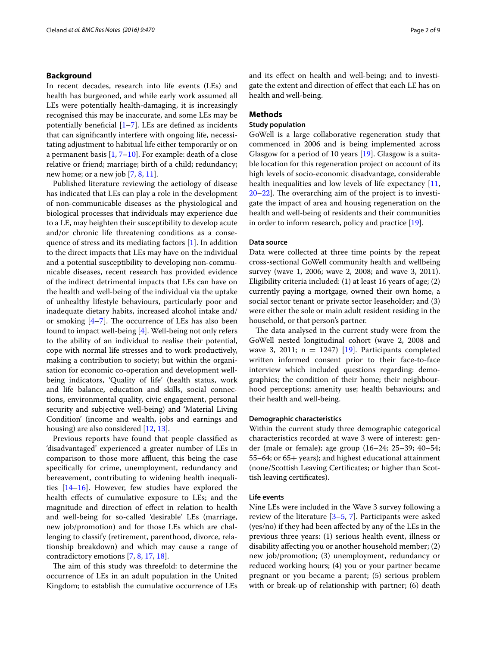## **Background**

In recent decades, research into life events (LEs) and health has burgeoned, and while early work assumed all LEs were potentially health-damaging, it is increasingly recognised this may be inaccurate, and some LEs may be potentially beneficial  $[1–7]$  $[1–7]$ . LEs are defined as incidents that can significantly interfere with ongoing life, necessitating adjustment to habitual life either temporarily or on a permanent basis  $[1, 7-10]$  $[1, 7-10]$  $[1, 7-10]$  $[1, 7-10]$ . For example: death of a close relative or friend; marriage; birth of a child; redundancy; new home; or a new job [\[7](#page-8-1), [8,](#page-8-3) [11](#page-8-4)].

Published literature reviewing the aetiology of disease has indicated that LEs can play a role in the development of non-communicable diseases as the physiological and biological processes that individuals may experience due to a LE, may heighten their susceptibility to develop acute and/or chronic life threatening conditions as a consequence of stress and its mediating factors [\[1](#page-8-0)]. In addition to the direct impacts that LEs may have on the individual and a potential susceptibility to developing non-communicable diseases, recent research has provided evidence of the indirect detrimental impacts that LEs can have on the health and well-being of the individual via the uptake of unhealthy lifestyle behaviours, particularly poor and inadequate dietary habits, increased alcohol intake and/ or smoking  $[4-7]$  $[4-7]$ . The occurrence of LEs has also been found to impact well-being [[4\]](#page-8-5). Well-being not only refers to the ability of an individual to realise their potential, cope with normal life stresses and to work productively, making a contribution to society; but within the organisation for economic co-operation and development wellbeing indicators, 'Quality of life' (health status, work and life balance, education and skills, social connections, environmental quality, civic engagement, personal security and subjective well-being) and 'Material Living Condition' (income and wealth, jobs and earnings and housing) are also considered [\[12](#page-8-6), [13](#page-8-7)].

Previous reports have found that people classified as 'disadvantaged' experienced a greater number of LEs in comparison to those more affluent, this being the case specifically for crime, unemployment, redundancy and bereavement, contributing to widening health inequalities [\[14](#page-8-8)[–16\]](#page-8-9). However, few studies have explored the health effects of cumulative exposure to LEs; and the magnitude and direction of effect in relation to health and well-being for so-called 'desirable' LEs (marriage, new job/promotion) and for those LEs which are challenging to classify (retirement, parenthood, divorce, relationship breakdown) and which may cause a range of contradictory emotions [\[7](#page-8-1), [8,](#page-8-3) [17](#page-8-10), [18](#page-8-11)].

The aim of this study was threefold: to determine the occurrence of LEs in an adult population in the United Kingdom; to establish the cumulative occurrence of LEs and its effect on health and well-being; and to investigate the extent and direction of effect that each LE has on health and well-being.

## **Methods**

## **Study population**

GoWell is a large collaborative regeneration study that commenced in 2006 and is being implemented across Glasgow for a period of 10 years [[19](#page-8-12)]. Glasgow is a suitable location for this regeneration project on account of its high levels of socio-economic disadvantage, considerable health inequalities and low levels of life expectancy [[11](#page-8-4), [20](#page-8-13)[–22](#page-8-14)]. The overarching aim of the project is to investigate the impact of area and housing regeneration on the health and well-being of residents and their communities in order to inform research, policy and practice [[19\]](#page-8-12).

#### **Data source**

Data were collected at three time points by the repeat cross-sectional GoWell community health and wellbeing survey (wave 1, 2006; wave 2, 2008; and wave 3, 2011). Eligibility criteria included: (1) at least 16 years of age; (2) currently paying a mortgage, owned their own home, a social sector tenant or private sector leaseholder; and (3) were either the sole or main adult resident residing in the household, or that person's partner.

The data analysed in the current study were from the GoWell nested longitudinal cohort (wave 2, 2008 and wave 3, 2011;  $n = 1247$  [[19](#page-8-12)]. Participants completed written informed consent prior to their face-to-face interview which included questions regarding: demographics; the condition of their home; their neighbourhood perceptions; amenity use; health behaviours; and their health and well-being.

## **Demographic characteristics**

Within the current study three demographic categorical characteristics recorded at wave 3 were of interest: gender (male or female); age group (16–24; 25–39; 40–54; 55–64; or 65+ years); and highest educational attainment (none/Scottish Leaving Certificates; or higher than Scottish leaving certificates).

#### **Life events**

Nine LEs were included in the Wave 3 survey following a review of the literature [\[3](#page-8-15)–[5,](#page-8-16) [7](#page-8-1)]. Participants were asked (yes/no) if they had been affected by any of the LEs in the previous three years: (1) serious health event, illness or disability affecting you or another household member; (2) new job/promotion; (3) unemployment, redundancy or reduced working hours; (4) you or your partner became pregnant or you became a parent; (5) serious problem with or break-up of relationship with partner; (6) death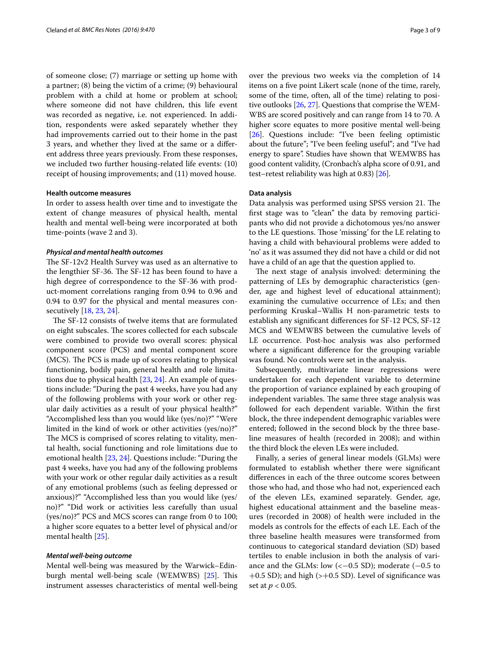of someone close; (7) marriage or setting up home with a partner; (8) being the victim of a crime; (9) behavioural problem with a child at home or problem at school; where someone did not have children, this life event was recorded as negative, i.e. not experienced. In addition, respondents were asked separately whether they had improvements carried out to their home in the past 3 years, and whether they lived at the same or a different address three years previously. From these responses, we included two further housing-related life events: (10) receipt of housing improvements; and (11) moved house.

#### **Health outcome measures**

In order to assess health over time and to investigate the extent of change measures of physical health, mental health and mental well-being were incorporated at both time-points (wave 2 and 3).

#### *Physical and mental health outcomes*

The SF-12v2 Health Survey was used as an alternative to the lengthier SF-36. The SF-12 has been found to have a high degree of correspondence to the SF-36 with product-moment correlations ranging from 0.94 to 0.96 and 0.94 to 0.97 for the physical and mental measures consecutively [\[18](#page-8-11), [23,](#page-8-17) [24\]](#page-8-18).

The SF-12 consists of twelve items that are formulated on eight subscales. The scores collected for each subscale were combined to provide two overall scores: physical component score (PCS) and mental component score (MCS). The PCS is made up of scores relating to physical functioning, bodily pain, general health and role limitations due to physical health [\[23,](#page-8-17) [24](#page-8-18)]. An example of questions include: "During the past 4 weeks, have you had any of the following problems with your work or other regular daily activities as a result of your physical health?" "Accomplished less than you would like (yes/no)?" "Were limited in the kind of work or other activities (yes/no)?" The MCS is comprised of scores relating to vitality, mental health, social functioning and role limitations due to emotional health [\[23](#page-8-17), [24\]](#page-8-18). Questions include: "During the past 4 weeks, have you had any of the following problems with your work or other regular daily activities as a result of any emotional problems (such as feeling depressed or anxious)?" "Accomplished less than you would like (yes/ no)?" "Did work or activities less carefully than usual (yes/no)?" PCS and MCS scores can range from 0 to 100; a higher score equates to a better level of physical and/or mental health [\[25](#page-8-19)].

## *Mental well‑being outcome*

Mental well-being was measured by the Warwick–Edinburgh mental well-being scale (WEMWBS) [[25\]](#page-8-19). This instrument assesses characteristics of mental well-being

over the previous two weeks via the completion of 14 items on a five point Likert scale (none of the time, rarely, some of the time, often, all of the time) relating to positive outlooks [\[26,](#page-8-20) [27](#page-8-21)]. Questions that comprise the WEM-WBS are scored positively and can range from 14 to 70. A higher score equates to more positive mental well-being [[26\]](#page-8-20). Questions include: "I've been feeling optimistic about the future"; "I've been feeling useful"; and "I've had energy to spare". Studies have shown that WEMWBS has good content validity, (Cronbach's alpha score of 0.91, and test–retest reliability was high at 0.83) [[26\]](#page-8-20).

#### **Data analysis**

Data analysis was performed using SPSS version 21. The first stage was to "clean" the data by removing participants who did not provide a dichotomous yes/no answer to the LE questions. Those 'missing' for the LE relating to having a child with behavioural problems were added to 'no' as it was assumed they did not have a child or did not have a child of an age that the question applied to.

The next stage of analysis involved: determining the patterning of LEs by demographic characteristics (gender, age and highest level of educational attainment); examining the cumulative occurrence of LEs; and then performing Kruskal–Wallis H non-parametric tests to establish any significant differences for SF-12 PCS, SF-12 MCS and WEMWBS between the cumulative levels of LE occurrence. Post-hoc analysis was also performed where a significant difference for the grouping variable was found. No controls were set in the analysis.

Subsequently, multivariate linear regressions were undertaken for each dependent variable to determine the proportion of variance explained by each grouping of independent variables. The same three stage analysis was followed for each dependent variable. Within the first block, the three independent demographic variables were entered; followed in the second block by the three baseline measures of health (recorded in 2008); and within the third block the eleven LEs were included.

Finally, a series of general linear models (GLMs) were formulated to establish whether there were significant differences in each of the three outcome scores between those who had, and those who had not, experienced each of the eleven LEs, examined separately. Gender, age, highest educational attainment and the baseline measures (recorded in 2008) of health were included in the models as controls for the effects of each LE. Each of the three baseline health measures were transformed from continuous to categorical standard deviation (SD) based tertiles to enable inclusion in both the analysis of variance and the GLMs: low  $\left\langle \leftarrow 0.5 \text{ SD} \right\rangle$ ; moderate  $\left\langle \leftarrow 0.5 \text{ to } \right\rangle$  $+0.5$  SD); and high ( $>+0.5$  SD). Level of significance was set at *p* < 0.05.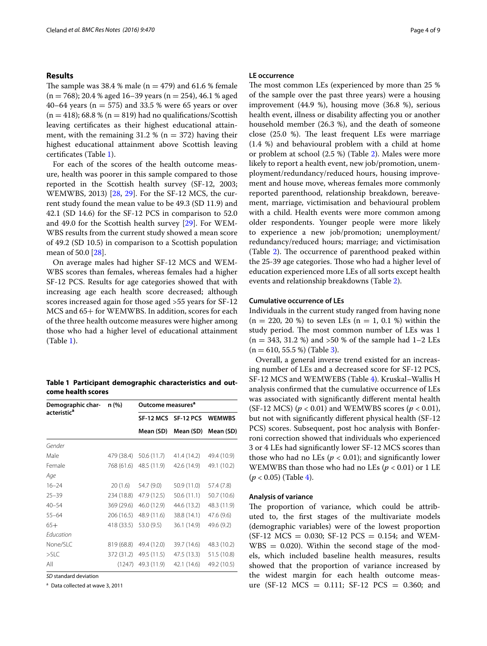## **Results**

The sample was 38.4 % male ( $n = 479$ ) and 61.6 % female  $(n = 768)$ ; 20.4 % aged 16–39 years  $(n = 254)$ , 46.1 % aged 40–64 years ( $n = 575$ ) and 33.5 % were 65 years or over  $(n = 418)$ ; 68.8 %  $(n = 819)$  had no qualifications/Scottish leaving certificates as their highest educational attainment, with the remaining  $31.2 %$  (n = 372) having their highest educational attainment above Scottish leaving certificates (Table [1](#page-3-0)).

For each of the scores of the health outcome measure, health was poorer in this sample compared to those reported in the Scottish health survey (SF-12, 2003; WEMWBS, 2013) [\[28](#page-8-22), [29\]](#page-8-23). For the SF-12 MCS, the current study found the mean value to be 49.3 (SD 11.9) and 42.1 (SD 14.6) for the SF-12 PCS in comparison to 52.0 and 49.0 for the Scottish health survey [\[29](#page-8-23)]. For WEM-WBS results from the current study showed a mean score of 49.2 (SD 10.5) in comparison to a Scottish population mean of 50.0 [[28](#page-8-22)].

On average males had higher SF-12 MCS and WEM-WBS scores than females, whereas females had a higher SF-12 PCS. Results for age categories showed that with increasing age each health score decreased; although scores increased again for those aged >55 years for SF-12 MCS and 65+ for WEMWBS. In addition, scores for each of the three health outcome measures were higher among those who had a higher level of educational attainment (Table [1](#page-3-0)).

<span id="page-3-0"></span>**Table 1 Participant demographic characteristics and outcome health scores**

| Demographic char-       | n (%)      | Outcome measures <sup>a</sup> |             |               |
|-------------------------|------------|-------------------------------|-------------|---------------|
| acteristic <sup>a</sup> |            | SF-12 MCS                     | SF-12 PCS   | <b>WEMWBS</b> |
|                         |            | Mean (SD)                     | Mean (SD)   | Mean (SD)     |
| Gender                  |            |                               |             |               |
| Male                    | 479 (38.4) | 50.6 (11.7)                   | 41.4 (14.2) | 49.4 (10.9)   |
| Female                  | 768 (61.6) | 48.5 (11.9)                   | 42.6 (14.9) | 49.1 (10.2)   |
| Age                     |            |                               |             |               |
| $16 - 24$               | 20(1.6)    | 54.7 (9.0)                    | 50.9 (11.0) | 57.4 (7.8)    |
| $25 - 39$               | 234 (18.8) | 47.9 (12.5)                   | 50.6(11.1)  | 50.7 (10.6)   |
| $40 - 54$               | 369 (29.6) | 46.0 (12.9)                   | 44.6 (13.2) | 48.3 (11.9)   |
| $55 - 64$               | 206 (16.5) | 48.9 (11.6)                   | 38.8 (14.1) | 47.6 (9.6)    |
| $65+$                   | 418 (33.5) | 53.0 (9.5)                    | 36.1 (14.9) | 49.6 (9.2)    |
| Education               |            |                               |             |               |
| None/SLC                | 819 (68.8) | 49.4 (12.0)                   | 39.7 (14.6) | 48.3 (10.2)   |
| $>$ SLC                 | 372 (31.2) | 49.5 (11.5)                   | 47.5 (13.3) | 51.5 (10.8)   |
| All                     | (1247)     | 49.3 (11.9)                   | 42.1 (14.6) | 49.2 (10.5)   |

*SD* standard deviation

<sup>a</sup> Data collected at wave 3, 2011

#### **LE occurrence**

The most common LEs (experienced by more than 25 % of the sample over the past three years) were a housing improvement (44.9 %), housing move (36.8 %), serious health event, illness or disability affecting you or another household member (26.3 %), and the death of someone close (25.0 %). The least frequent LEs were marriage (1.4 %) and behavioural problem with a child at home or problem at school (2.5 %) (Table [2\)](#page-4-0). Males were more likely to report a health event, new job/promotion, unemployment/redundancy/reduced hours, housing improvement and house move, whereas females more commonly reported parenthood, relationship breakdown, bereavement, marriage, victimisation and behavioural problem with a child. Health events were more common among older respondents. Younger people were more likely to experience a new job/promotion; unemployment/ redundancy/reduced hours; marriage; and victimisation (Table [2\)](#page-4-0). The occurrence of parenthood peaked within the 25-39 age categories. Those who had a higher level of education experienced more LEs of all sorts except health events and relationship breakdowns (Table [2](#page-4-0)).

### **Cumulative occurrence of LEs**

Individuals in the current study ranged from having none  $(n = 220, 20, 8)$  to seven LEs  $(n = 1, 0.1, 8)$  within the study period. The most common number of LEs was 1  $(n = 343, 31.2 \%)$  and  $>50 \%$  of the sample had 1–2 LEs  $(n = 610, 55.5%)$  (Table [3](#page-5-0)).

Overall, a general inverse trend existed for an increasing number of LEs and a decreased score for SF-12 PCS, SF-12 MCS and WEMWEBS (Table [4](#page-5-1)). Kruskal–Wallis H analysis confirmed that the cumulative occurrence of LEs was associated with significantly different mental health (SF-12 MCS) (*p* < 0.01) and WEMWBS scores (*p* < 0.01), but not with significantly different physical health (SF-12 PCS) scores. Subsequent, post hoc analysis with Bonferroni correction showed that individuals who experienced 3 or 4 LEs had significantly lower SF-12 MCS scores than those who had no LEs ( $p < 0.01$ ); and significantly lower WEMWBS than those who had no LEs (*p* < 0.01) or 1 LE  $(p < 0.05)$  (Table [4](#page-5-1)).

## **Analysis of variance**

The proportion of variance, which could be attributed to, the first stages of the multivariate models (demographic variables) were of the lowest proportion  $(SF-12 MCS = 0.030; SF-12 PCS = 0.154; and WEM WBS = 0.020$ . Within the second stage of the models, which included baseline health measures, results showed that the proportion of variance increased by the widest margin for each health outcome measure (SF-12 MCS =  $0.111$ ; SF-12 PCS = 0.360; and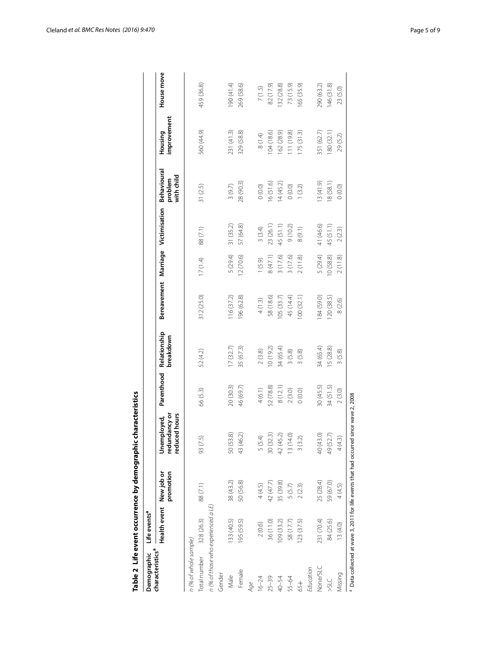|                                             |                                     |                         | Table 2 Life event occurrence by demographic characteristics                        |            |                           |                      |          |               |                                      |                        |            |
|---------------------------------------------|-------------------------------------|-------------------------|-------------------------------------------------------------------------------------|------------|---------------------------|----------------------|----------|---------------|--------------------------------------|------------------------|------------|
| characteristics <sup>a</sup><br>Demographic | Life events <sup>a</sup>            |                         |                                                                                     |            |                           |                      |          |               |                                      |                        |            |
|                                             | Health event                        | promotion<br>New job or | reduced hours<br>redundancy or<br>Unemployed,                                       | Parenthood | Relationship<br>breakdown | Bereavement Marriage |          | Victimisation | Behavioural<br>with child<br>problem | improvement<br>Housing | House move |
| n (% of whole sample)                       |                                     |                         |                                                                                     |            |                           |                      |          |               |                                      |                        |            |
| Total number                                | 328 (26.3)                          | 88(7.1)                 | 93 (7.5)                                                                            | 66 (5.3)   | 52 (4.2)                  | 312 (25.0)           | 17(1.4)  | 88 (7.1)      | 31(2.5)                              | 560 (44.9)             | 459 (36.8) |
|                                             | n (% of those who experienced a LE) |                         |                                                                                     |            |                           |                      |          |               |                                      |                        |            |
| Gender                                      |                                     |                         |                                                                                     |            |                           |                      |          |               |                                      |                        |            |
| Male                                        | 133 (40.5)                          | 38 (43.2)               | 50 (53.8)                                                                           | 20 (30.3)  | (7(32.7))                 | 116(37.2)            | 5(29.4)  | 31 (35.2)     | 3(9.7)                               | 231 (41.3)             | 90 (41.4)  |
| Female                                      | 195 (59.5)                          | 50 (56.8)               | 43 (46.2)                                                                           | 46 (69.7)  | 35 (67.3)                 | 96 (62.8)            | 12(70.6) | 57 (64.8)     | 28 (90.3)                            | 329 (58.8)             | 269 (58.6) |
| Age                                         |                                     |                         |                                                                                     |            |                           |                      |          |               |                                      |                        |            |
| $16 - 24$                                   | 2(0.6)                              | 4(4.5)                  | 5 (5.4)                                                                             | 4(6.1)     | 2(3.8)                    | 4(1.3)               | (5.9)    | 3(3.4)        | 0(0.0)                               | (1.4)                  | 7(1.5)     |
| $25 - 39$                                   | 36 (11.0)                           | 42 (47.7)               | 30(32.3)                                                                            | 52 (78.8)  | (0(19.2)                  | 58 (18.6)            | 8(47.1)  | 23 (26.1)     | 16(51.6)                             | 04 (18.6)              | 82 (17.9)  |
| 40-54                                       | 109(33.2)                           | 35 (39.8)               | 42 (45.2)                                                                           | 8 (12.1)   | 34 (65.4)                 | 105(33.7)            | 3(17.6)  | 45 (51.1)     | 14(45.2)                             | 62 (28.9)              | 32 (28.8)  |
| 55-64                                       | 58 (17.7)                           | 5(5.7)                  | 13 (14.0)                                                                           | 2(3.0)     | 3(5.8)                    | 45 (14.4)            | (17.6)   | 9(10.2)       | (0.0)0                               | 11 (19.8)              | 73 (15.9)  |
| 65+                                         | 123(37.5)                           | 2(2.3)                  | 3(3.2)                                                                              | (0.0)      | 3(5.8)                    | 00 (32.1)            | 2(11.8)  | 8(9.1)        | 1(3.2)                               | 175(31.3)              | 65 (35.9)  |
| Education                                   |                                     |                         |                                                                                     |            |                           |                      |          |               |                                      |                        |            |
| None/SLC                                    | 231 (70.4)                          | 25 (28.4)               | 40 (43.0)                                                                           | 30 (45.5)  | 34 (65.4)                 | 84 (59.0)            | 5 (29.4) | 41 (46.6)     | 3(41.9)                              | 351 (62.7)             | 290 (63.2) |
| <b>SIC</b>                                  | 84 (25.6)                           | 59 (67.0)               | 49 (52.7)                                                                           | 34 (51.5)  | 5 (28.8)                  | 120(38.5)            | 10(58.8) | 45 (51.1)     | 18(58.1)                             | 80 (32.1)              | 146(31.8)  |
| Missing                                     | 13(4.0)                             | 4 (4.5)                 | 4(4.3)                                                                              | 2(3.0)     | 3(5.8)                    | 8 (2.6)              | 2(11.8)  | 2(2.3)        | 0(0.0)                               | 29 (5.2)               | 23 (5.0)   |
|                                             |                                     |                         | Data collected at wave 3, 2011 for life events that had occurred since wave 2, 2008 |            |                           |                      |          |               |                                      |                        |            |

<span id="page-4-0"></span>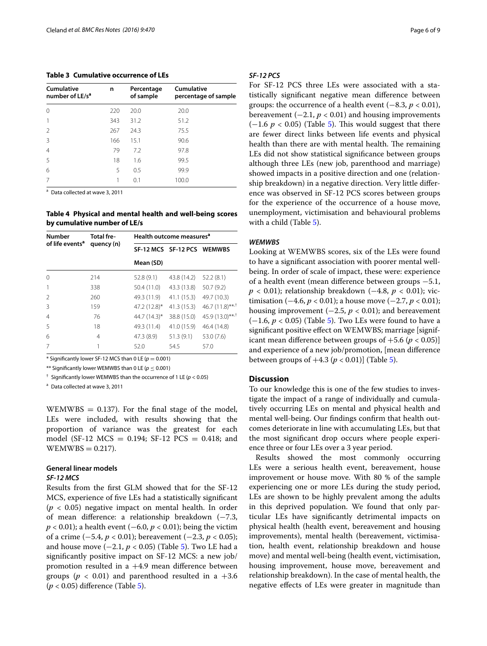<span id="page-5-0"></span>**Table 3 Cumulative occurrence of LEs**

| Cumulative<br>number of LE/s <sup>a</sup> | n   | Percentage<br>of sample | Cumulative<br>percentage of sample |
|-------------------------------------------|-----|-------------------------|------------------------------------|
| $\Omega$                                  | 220 | 20.0                    | 20.0                               |
|                                           | 343 | 31.2                    | 51.2                               |
| $\mathfrak{D}$                            | 267 | 24.3                    | 75.5                               |
| 3                                         | 166 | 15.1                    | 90.6                               |
| $\overline{4}$                            | 79  | 7.2                     | 97.8                               |
| .5                                        | 18  | 1.6                     | 99.5                               |
| 6                                         | 5   | 0.5                     | 99.9                               |
| 7                                         | 1   | 0.1                     | 100.0                              |
|                                           |     |                         |                                    |

<sup>a</sup> Data collected at wave 3, 2011

<span id="page-5-1"></span>**Table 4 Physical and mental health and well-being scores by cumulative number of LE/s**

| <b>Number</b>               | <b>Total fre-</b> |                 | Health outcome measures <sup>a</sup> |                              |
|-----------------------------|-------------------|-----------------|--------------------------------------|------------------------------|
| of life events <sup>a</sup> | quency (n)        |                 | SF-12 MCS SF-12 PCS WEMWBS           |                              |
|                             |                   | Mean (SD)       |                                      |                              |
| $\Omega$                    | 214               | 52.8 (9.1)      | 43.8 (14.2)                          | 52.2(8.1)                    |
| 1                           | 338               | 50.4 (11.0)     | 43.3 (13.8)                          | 50.7 (9.2)                   |
| $\mathfrak{D}$              | 260               | 49.3 (11.9)     | 41.1 (15.3)                          | 49.7 (10.3)                  |
| 3                           | 159               | $47.2(12.8)$ *  | 41.3 (15.3)                          | $46.7(11.8)$ **,†            |
| 4                           | 76                | 44.7 $(14.3)^*$ | 38.8 (15.0)                          | $45.9(13.0)$ ** <sup>*</sup> |
| .5                          | 18                | 49.3 (11.4)     | 41.0 (15.9)                          | 46.4 (14.8)                  |
| 6                           | 4                 | 47.3(8.9)       | 51.3(9.1)                            | 53.0 (7.6)                   |
| 7                           | 1                 | 52.0            | 54.5                                 | 57.0                         |

 $*$  Significantly lower SF-12 MCS than 0 LE ( $p = 0.001$ )

\*\* Significantly lower WEMWBS than 0 LE ( $p \le 0.001$ )

† Significantly lower WEMWBS than the occurrence of 1 LE (*p* < 0.05)

<sup>a</sup> Data collected at wave 3, 2011

 $WEMWBS = 0.137$ . For the final stage of the model, LEs were included, with results showing that the proportion of variance was the greatest for each model (SF-12 MCS =  $0.194$ ; SF-12 PCS =  $0.418$ ; and  $WEMWBS = 0.217$ .

# **General linear models**

## *SF‑12 MCS*

Results from the first GLM showed that for the SF-12 MCS, experience of five LEs had a statistically significant  $(p < 0.05)$  negative impact on mental health. In order of mean difference: a relationship breakdown (−7.3, *p* < 0.01); a health event (−6.0, *p* < 0.01); being the victim of a crime (−5.4, *p* < 0.01); bereavement (−2.3, *p* < 0.05); and house move  $(-2.1, p < 0.05)$  $(-2.1, p < 0.05)$  (Table 5). Two LE had a significantly positive impact on SF-12 MCS: a new job/ promotion resulted in a  $+4.9$  mean difference between groups ( $p < 0.01$ ) and parenthood resulted in a  $+3.6$ (*p* < 0.05) difference (Table [5](#page-6-0)).

## *SF‑12 PCS*

For SF-12 PCS three LEs were associated with a statistically significant negative mean difference between groups: the occurrence of a health event  $(-8.3, p < 0.01)$ , bereavement  $(-2.1, p < 0.01)$  and housing improvements  $(-1.6 \, p < 0.05)$  $(-1.6 \, p < 0.05)$  (Table 5). This would suggest that there are fewer direct links between life events and physical health than there are with mental health. The remaining LEs did not show statistical significance between groups although three LEs (new job, parenthood and marriage) showed impacts in a positive direction and one (relationship breakdown) in a negative direction. Very little difference was observed in SF-12 PCS scores between groups for the experience of the occurrence of a house move, unemployment, victimisation and behavioural problems with a child (Table [5](#page-6-0)).

#### *WEMWBS*

Looking at WEMWBS scores, six of the LEs were found to have a significant association with poorer mental wellbeing. In order of scale of impact, these were: experience of a health event (mean difference between groups −5.1, *p* < 0.01); relationship breakdown (−4.8, *p* < 0.01); victimisation  $(-4.6, p < 0.01)$ ; a house move  $(-2.7, p < 0.01)$ ; housing improvement  $(-2.5, p < 0.01)$ ; and bereavement (−1.6, *p* < 0.05) (Table [5](#page-6-0)). Two LEs were found to have a significant positive effect on WEMWBS; marriage [significant mean difference between groups of  $+5.6$  ( $p < 0.05$ )] and experience of a new job/promotion, [mean difference between groups of  $+4.3$  ( $p < 0.01$ )] (Table [5](#page-6-0)).

#### **Discussion**

To our knowledge this is one of the few studies to investigate the impact of a range of individually and cumulatively occurring LEs on mental and physical health and mental well-being. Our findings confirm that health outcomes deteriorate in line with accumulating LEs, but that the most significant drop occurs where people experience three or four LEs over a 3 year period.

Results showed the most commonly occurring LEs were a serious health event, bereavement, house improvement or house move. With 80 % of the sample experiencing one or more LEs during the study period, LEs are shown to be highly prevalent among the adults in this deprived population. We found that only particular LEs have significantly detrimental impacts on physical health (health event, bereavement and housing improvements), mental health (bereavement, victimisation, health event, relationship breakdown and house move) and mental well-being (health event, victimisation, housing improvement, house move, bereavement and relationship breakdown). In the case of mental health, the negative effects of LEs were greater in magnitude than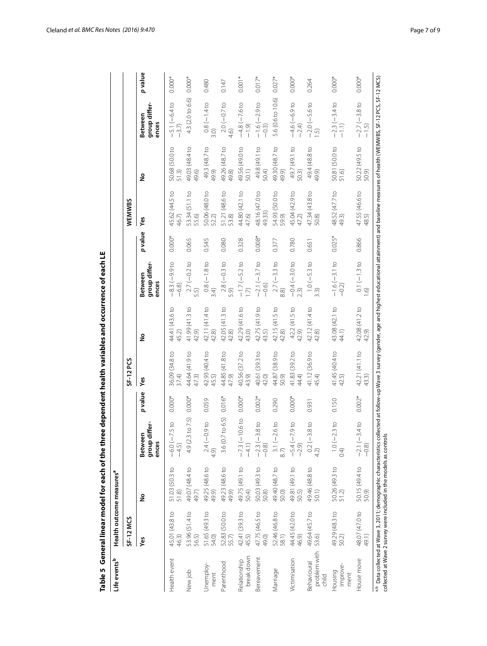<span id="page-6-0"></span>

| ֘֒ |  |
|----|--|
|    |  |
|    |  |
|    |  |
|    |  |
|    |  |
|    |  |
|    |  |
|    |  |
|    |  |

**Table 5 General linear model for each of the three dependent health variables and occurrence of each LE** a,b Data collected at Wave 3, 2011; demographic characteristics collected at follow-up Wave 3 survey (gender, age and highest educational attainment) and baseline measures of health (WEMWBS, SF-12 PCS, SF-12 MCS) **Life events** collected at Wave 2 survey were included in the models as controls **b Health outcome measuresa SF-12 MCS SF-12 PCS WEMWBS Yes No Between group differ- ences** *p* **value Yes No Between group differ- ences** *p* **value Yes No Between group differ- ences** *p* **value** Health event 45.01 (43.8 to 46.3) 51.03 (50.3 to 51.8) −6.0 (−7.5 to −4.5) 0.000\* 36.09 (34.8 to 37.4) 44.41 (43.6 to 45.2) −8.3 (−9.9 to −6.8) 0.000\* 45.62 (44.5 to 46.7) 50.68 (50.0 to 51.3) −5.1 (−6.4 to −3.7) 0.000\* New job 53.96 (51.4 to 56.5) 49.07 (48.4 to 49.7) 4.9 (2.3 to 7.5) 0.000\* 44.64 (41.9 to 47.3) 41.99 (41.3 to 42.9) 2.7 (−0.2 to 5.5) 0.065 53.34 (51.1 to 55.6) 49.03 (48.4 to 49.6) 4.3 (2.0 to 6.6) 0.000\* Unemploy- ment 51.65 (49.3 to 54.0) 49.25 (48.6 to 49.9) 2.4 (−0.9 to 4.9) 0.059 42.93 (40.4 to 45.5) 42.11 (41.4 to 42.8) 0.8 (−1.8 to 3.4) 0.545 50.06 (48.0 to 52.2) 49.3 (48.7 to 49.9) 0.8 (−1.4 to 3.0) 0.480 Parenthood 52.83 (50.0 to 55.7) 49.23 (48.6 to 49.9) 3.6 (0.7 to 6.5) 0.016\* 44.85 (41.8 to 47.9) 42.05 (41.3 to 42.8) 2.8 (−0.3 to 5.9) 0.080 51.21 (48.6 to 53.8) 49.26 (48.7 to 49.8) 2.0 (−0.7 to 4.6) 0.147 Relationship break down 42.41 (39.3 to 45.5) 49.75 (49.1 to 50.4) −7.3 (−10.6 to −4.1) 0.000\* 40.56 (37.2 to 43.9) 42.29 (41.6 to 43.0) −1.7 (−5.2 to 1.7) 0.328 44.80 (42.1 to 47.6) 49.56 (49.0 to 50.1) −4.8 (−7.6 to −1.9) 0.001\* Bereavement 47.75 (46.5 to 49.0) 50.03 (49.3 to 50.8) −2.3 (−3.8 to −0.8) 0.002\* 40.61 (39.3 to 42.0) 42.75 (41.9 to 43.5) −2.1 (−3.7 to −0.6) 0.008\* 48.16 (47.0 to 49.33) 49.8 (49.1 to 50.4) −1.6 (−2.9 to −0.3) 0.017\* Marriage 52.46 (46.8 to 58.1) 49.40 (48.7 to 50.0) 3.1 (−2.6 to 8.7) 0.290 44.87 (38.9 to 50.9) 42.15 (41.5 to 42.8) 2.7 (−3.3 to 8.8) 0.377 54.93 (50.0 to 59.9) 49.30 (48.7 to 49.9) 5.6 (0.6 to 10.6) 0.027\* Victimisation 44.45 (42.0 to 46.9) 49.81 (49.1 to 50.5) −5.4 (−7.9 to −2.9) 0.000\* 41.83 (39.2 to 44.4) 42.2 (41.5 to 42.9) −0.4 (−3.0 to 2.3) 0.780 45.04 (42.9 to 47.2) 49.7 (49.1 to 50.3) −4.6 (−6.9 to −2.4) 0.000\* Behavioural problem with child 49.64 (45.7 to 53.6) 49.46 (48.8 to 50.1) 0.2 (−3.8 to 4.2) 0.931 41.12 (36.9 to 45.4) 42.12 (41.4 to 42.8) 1.0 (−5.3 to 3.3) 0.651 47.34 (43.8 to 50.8) 49.4 (48.8 to 49.9) −2.0 (−5.6 to 1.5) 0.264 Housing improve- ment 49.29 (48.3 to 50.2) 50.26 (49.3 to 51.2) 1.0 (−2.3 to 0.4) 0.150 41.45 (40.4 to 42.5) 43.08 (42.1 to 44.1) −1.6 (−3.1 to −0.2) 0.025\* 48.52 (47.7 to 49.3) 50.81 (50.0 to 51.6) −2.3 (−3.4 to −1.1) 0.000\* House move 48.07 (47.0 to 49.1) 50.15 (49.4 to 50.9) −2.1 (−3.4 to −0.8) 0.002\* 42.21 (41.1 to 43.3) 42.08 (41.2 to 42.9) 0.1 (−1.3 to 1.6) 0.866 47.55 (46.6 to 48.5) 50.22 (49.5 to 50.9) −2.7 (−3.8 to −1.5) 0.000\*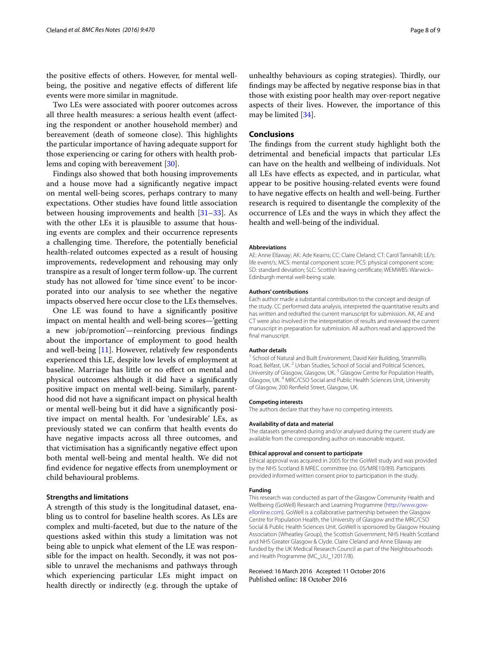the positive effects of others. However, for mental wellbeing, the positive and negative effects of different life events were more similar in magnitude.

Two LEs were associated with poorer outcomes across all three health measures: a serious health event (affecting the respondent or another household member) and bereavement (death of someone close). This highlights the particular importance of having adequate support for those experiencing or caring for others with health problems and coping with bereavement [\[30\]](#page-8-24).

Findings also showed that both housing improvements and a house move had a significantly negative impact on mental well-being scores, perhaps contrary to many expectations. Other studies have found little association between housing improvements and health [\[31–](#page-8-25)[33\]](#page-8-26). As with the other LEs it is plausible to assume that housing events are complex and their occurrence represents a challenging time. Therefore, the potentially beneficial health-related outcomes expected as a result of housing improvements, redevelopment and rehousing may only transpire as a result of longer term follow-up. The current study has not allowed for 'time since event' to be incorporated into our analysis to see whether the negative impacts observed here occur close to the LEs themselves.

One LE was found to have a significantly positive impact on mental health and well-being scores—'getting a new job/promotion'—reinforcing previous findings about the importance of employment to good health and well-being [\[11](#page-8-4)]. However, relatively few respondents experienced this LE, despite low levels of employment at baseline. Marriage has little or no effect on mental and physical outcomes although it did have a significantly positive impact on mental well-being. Similarly, parenthood did not have a significant impact on physical health or mental well-being but it did have a significantly positive impact on mental health. For 'undesirable' LEs, as previously stated we can confirm that health events do have negative impacts across all three outcomes, and that victimisation has a significantly negative effect upon both mental well-being and mental health. We did not find evidence for negative effects from unemployment or child behavioural problems.

#### **Strengths and limitations**

A strength of this study is the longitudinal dataset, enabling us to control for baseline health scores. As LEs are complex and multi-faceted, but due to the nature of the questions asked within this study a limitation was not being able to unpick what element of the LE was responsible for the impact on health. Secondly, it was not possible to unravel the mechanisms and pathways through which experiencing particular LEs might impact on health directly or indirectly (e.g. through the uptake of

unhealthy behaviours as coping strategies). Thirdly, our findings may be affected by negative response bias in that those with existing poor health may over-report negative aspects of their lives. However, the importance of this may be limited [[34\]](#page-8-27).

## **Conclusions**

The findings from the current study highlight both the detrimental and beneficial impacts that particular LEs can have on the health and wellbeing of individuals. Not all LEs have effects as expected, and in particular, what appear to be positive housing-related events were found to have negative effects on health and well-being. Further research is required to disentangle the complexity of the occurrence of LEs and the ways in which they affect the health and well-being of the individual.

#### **Abbreviations**

AE: Anne Ellaway; AK: Ade Kearns; CC: Claire Cleland; CT: Carol Tannahill; LE/s: life event/s; MCS: mental component score; PCS: physical component score; SD: standard deviation; SLC: Scottish leaving certificate; WEMWBS: Warwick– Edinburgh mental well-being scale.

#### **Authors' contributions**

Each author made a substantial contribution to the concept and design of the study. CC performed data analysis, interpreted the quantitative results and has written and redrafted the current manuscript for submission. AK, AE and CT were also involved in the interpretation of results and reviewed the current manuscript in preparation for submission. All authors read and approved the final manuscript.

#### **Author details**

<sup>1</sup> School of Natural and Built Environment, David Keir Building, Stranmillis Road, Belfast, UK. <sup>2</sup> Urban Studies, School of Social and Political Sciences, University of Glasgow, Glasgow, UK.<sup>3</sup> Glasgow Centre for Population Health, Glasgow, UK. 4 MRC/CSO Social and Public Health Sciences Unit, University of Glasgow, 200 Renfield Street, Glasgow, UK.

#### **Competing interests**

The authors declare that they have no competing interests.

#### **Availability of data and material**

The datasets generated during and/or analysed during the current study are available from the corresponding author on reasonable request.

#### **Ethical approval and consent to participate**

Ethical approval was acquired in 2005 for the GoWell study and was provided by the NHS Scotland B MREC committee (no. 05/MRE10/89). Participants provided informed written consent prior to participation in the study.

#### **Funding**

This research was conducted as part of the Glasgow Community Health and Wellbeing (GoWell) Research and Learning Programme [\(http://www.gow](http://www.gowellonline.com)[ellonline.com](http://www.gowellonline.com)). GoWell is a collaborative partnership between the Glasgow Centre for Population Health, the University of Glasgow and the MRC/CSO Social & Public Health Sciences Unit. GoWell is sponsored by Glasgow Housing Association (Wheatley Group), the Scottish Government, NHS Health Scotland and NHS Greater Glasgow & Clyde. Claire Cleland and Anne Ellaway are funded by the UK Medical Research Council as part of the Neighbourhoods and Health Programme (MC\_UU\_12017/8).

#### Received: 16 March 2016 Accepted: 11 October 2016Published online: 18 October 2016